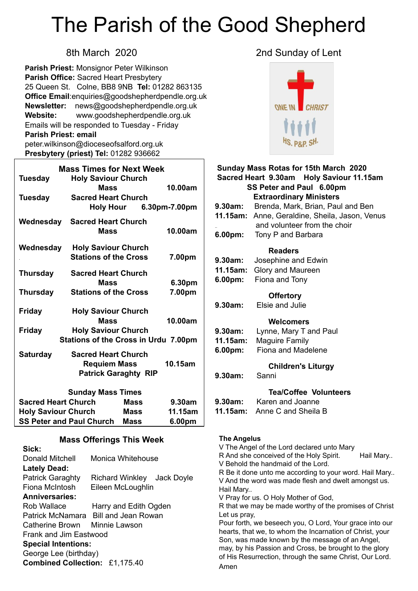# The Parish of the Good Shepherd

**Parish Priest:** Monsignor Peter Wilkinson **Parish Office:** Sacred Heart Presbytery 25 Queen St. Colne, BB8 9NB **Tel:** 01282 863135 **Office Email**[:enquiries@goodshepherdpendle.org.uk](mailto:enquiries@goodshepherdpendle.org.uk) **Newsletter:** news@goodshepherdpendle.org.uk **Website:** www.goodshepherdpendle.org.uk Emails will be responded to Tuesday - Friday **Parish Priest: email**  [peter.wilkinson@dioceseofsalford.org.uk](mailto:Emailpeter.wilkinson@dioceseofsalford.org.uk) **Presbytery (priest) Tel:** 01282 936662

| <b>Mass Times for Next Week</b> |                                                                                  |             |             |         |  |
|---------------------------------|----------------------------------------------------------------------------------|-------------|-------------|---------|--|
| <b>Tuesday</b>                  | <b>Holy Saviour Church</b><br><b>Mass</b>                                        |             |             | 10.00am |  |
| <b>Tuesday</b>                  | <b>Sacred Heart Church</b><br>Holy Hour 6.30pm-7.00pm                            |             |             |         |  |
| Wednesday                       | <b>Sacred Heart Church</b><br><b>Mass</b>                                        |             |             | 10.00am |  |
| Wednesday                       | <b>Holy Saviour Church</b><br><b>Stations of the Cross</b>                       |             |             | 7.00pm  |  |
| <b>Thursday</b>                 | <b>Sacred Heart Church</b><br><b>Mass</b>                                        |             |             | 6.30pm  |  |
| Thursday                        | <b>Stations of the Cross</b>                                                     |             |             | 7.00pm  |  |
| <b>Friday</b>                   | <b>Holy Saviour Church</b><br><b>Mass</b>                                        |             |             | 10.00am |  |
| Friday                          | <b>Holy Saviour Church</b><br><b>Stations of the Cross in Urdu 7.00pm</b>        |             |             |         |  |
| <b>Saturday</b>                 | <b>Sacred Heart Church</b><br><b>Requiem Mass</b><br><b>Patrick Garaghty RIP</b> |             |             | 10.15am |  |
| <b>Sunday Mass Times</b>        |                                                                                  |             |             |         |  |
| <b>Sacred Heart Church</b>      |                                                                                  | <b>Mass</b> |             | 9.30am  |  |
| <b>Holy Saviour Church</b>      |                                                                                  | Mass        |             | 11.15am |  |
| <b>SS Peter and Paul Church</b> |                                                                                  |             | <b>Mass</b> | 6.00pm  |  |

#### **Mass Offerings This Week**

| Sick:                          |                                      |  |  |  |
|--------------------------------|--------------------------------------|--|--|--|
| Donald Mitchell                | Monica Whitehouse                    |  |  |  |
| <b>Lately Dead:</b>            |                                      |  |  |  |
| <b>Patrick Garaghty</b>        | Richard Winkley Jack Doyle           |  |  |  |
| Fiona McIntosh                 | Eileen McLoughlin                    |  |  |  |
| <b>Anniversaries:</b>          |                                      |  |  |  |
| Rob Wallace                    | Harry and Edith Ogden                |  |  |  |
|                                | Patrick McNamara Bill and Jean Rowan |  |  |  |
| Catherine Brown Minnie Lawson  |                                      |  |  |  |
| Frank and Jim Eastwood         |                                      |  |  |  |
| <b>Special Intentions:</b>     |                                      |  |  |  |
| George Lee (birthday)          |                                      |  |  |  |
| Combined Collection: £1,175.40 |                                      |  |  |  |
|                                |                                      |  |  |  |

### 8th March 2020 2nd Sunday of Lent



| <b>Sunday Mass Rotas for 15th March 2020</b><br>Sacred Heart 9.30am Holy Saviour 11.15am<br>SS Peter and Paul 6.00pm<br><b>Extraordinary Ministers</b> |                                                          |  |  |
|--------------------------------------------------------------------------------------------------------------------------------------------------------|----------------------------------------------------------|--|--|
| 9.30am:                                                                                                                                                | Brenda, Mark, Brian, Paul and Ben                        |  |  |
|                                                                                                                                                        | 11.15am: Anne, Geraldine, Sheila, Jason, Venus           |  |  |
|                                                                                                                                                        | and volunteer from the choir                             |  |  |
| 6.00pm:                                                                                                                                                | Tony P and Barbara                                       |  |  |
|                                                                                                                                                        |                                                          |  |  |
| <b>Readers</b>                                                                                                                                         |                                                          |  |  |
| 9.30am:                                                                                                                                                | Josephine and Edwin                                      |  |  |
| 11.15am:                                                                                                                                               | Glory and Maureen                                        |  |  |
| 6.00pm:                                                                                                                                                | Fiona and Tony                                           |  |  |
|                                                                                                                                                        |                                                          |  |  |
|                                                                                                                                                        | <b>Offertory</b>                                         |  |  |
| 9.30am:                                                                                                                                                | Elsie and Julie                                          |  |  |
|                                                                                                                                                        | Welcomers                                                |  |  |
| 9.30am:                                                                                                                                                | Lynne, Mary T and Paul                                   |  |  |
| 11.15am:                                                                                                                                               | <b>Maguire Family</b>                                    |  |  |
| 6.00pm:                                                                                                                                                | Fiona and Madelene                                       |  |  |
|                                                                                                                                                        |                                                          |  |  |
|                                                                                                                                                        | <b>Children's Liturgy</b>                                |  |  |
| 9.30am:                                                                                                                                                | Sanni                                                    |  |  |
|                                                                                                                                                        | <b>Tea/Coffee Volunteers</b><br>9.30am: Karen and Joanne |  |  |
| 11.15am:                                                                                                                                               | Anne C and Sheila B                                      |  |  |

#### **The Angelus**

V The Angel of the Lord declared unto Mary R And she conceived of the Holy Spirit. Hail Mary.. V Behold the handmaid of the Lord. R Be it done unto me according to your word. Hail Mary.. V And the word was made flesh and dwelt amongst us. Hail Mary.. V Pray for us. O Holy Mother of God, R that we may be made worthy of the promises of Christ Let us pray, Pour forth, we beseech you, O Lord, Your grace into our hearts, that we, to whom the Incarnation of Christ, your Son, was made known by the message of an Angel, may, by his Passion and Cross, be brought to the glory of His Resurrection, through the same Christ, Our Lord. Amen